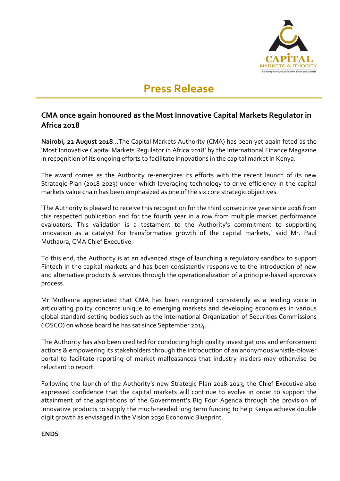

## **Press Release**

## **CMA once again honoured as the Most Innovative Capital Markets Regulator in Africa 2018**

**Nairobi, 22 August 2018**…The Capital Markets Authority (CMA) has been yet again feted as the 'Most Innovative Capital Markets Regulator in Africa 2018' by the International Finance Magazine in recognition of its ongoing efforts to facilitate innovations in the capital market in Kenya.

The award comes as the Authority re-energizes its efforts with the recent launch of its new Strategic Plan (2018-2023) under which leveraging technology to drive efficiency in the capital markets value chain has been emphasized as one of the six core strategic objectives.

'The Authority is pleased to receive this recognition for the third consecutive year since 2016 from this respected publication and for the fourth year in a row from multiple market performance evaluators. This validation is a testament to the Authority's commitment to supporting innovation as a catalyst for transformative growth of the capital markets,' said Mr. Paul Muthaura, CMA Chief Executive.

To this end, the Authority is at an advanced stage of launching a regulatory sandbox to support Fintech in the capital markets and has been consistently responsive to the introduction of new and alternative products & services through the operationalization of a principle-based approvals process.

Mr Muthaura appreciated that CMA has been recognized consistently as a leading voice in articulating policy concerns unique to emerging markets and developing economies in various global standard-setting bodies such as the International Organization of Securities Commissions (IOSCO) on whose board he has sat since September 2014.

The Authority has also been credited for conducting high quality investigations and enforcement actions & empowering its stakeholders through the introduction of an anonymous whistle-blower portal to facilitate reporting of market malfeasances that industry insiders may otherwise be reluctant to report.

Following the launch of the Authority's new Strategic Plan 2018-2023, the Chief Executive also expressed confidence that the capital markets will continue to evolve in order to support the attainment of the aspirations of the Government's Big Four Agenda through the provision of innovative products to supply the much-needed long term funding to help Kenya achieve double digit growth as envisaged in the Vision 2030 Economic Blueprint.

## **ENDS**